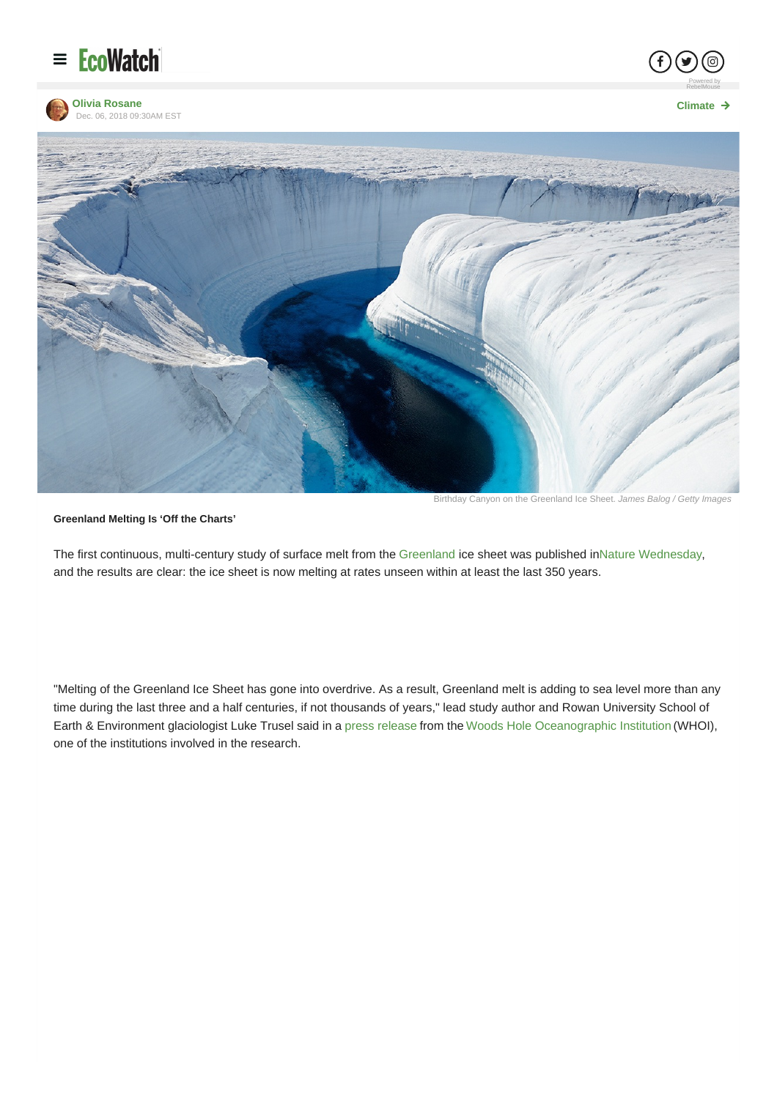







Birthday Canyon on the Greenland Ice Sheet. *James Balog / Getty Images*

#### **Greenland Melting Is 'Off the Charts'**

The first continuous, multi-century study of surface melt from the [Greenland](http://www.ecowatch.com/tag/greenland) ice sheet was published inNature [Wednesday](https://www.nature.com/articles/s41586-018-0752-4), and the results are clear: the ice sheet is now melting at rates unseen within at least the last 350 years.

"Melting of the Greenland Ice Sheet has gone into overdrive. As a result, Greenland melt is adding to sea level more than any time during the last three and a half centuries, if not thousands of years," lead study author and Rowan University School of Earth & Environment glaciologist Luke Trusel said in a press [release](http://www.whoi.edu/news-release/greenland-ice-sheet-melt-off-the-charts-compared-with-past-four-centuries) from the Woods Hole [Oceanographic](http://www.whoi.edu/) Institution (WHOI), one of the institutions involved in the research.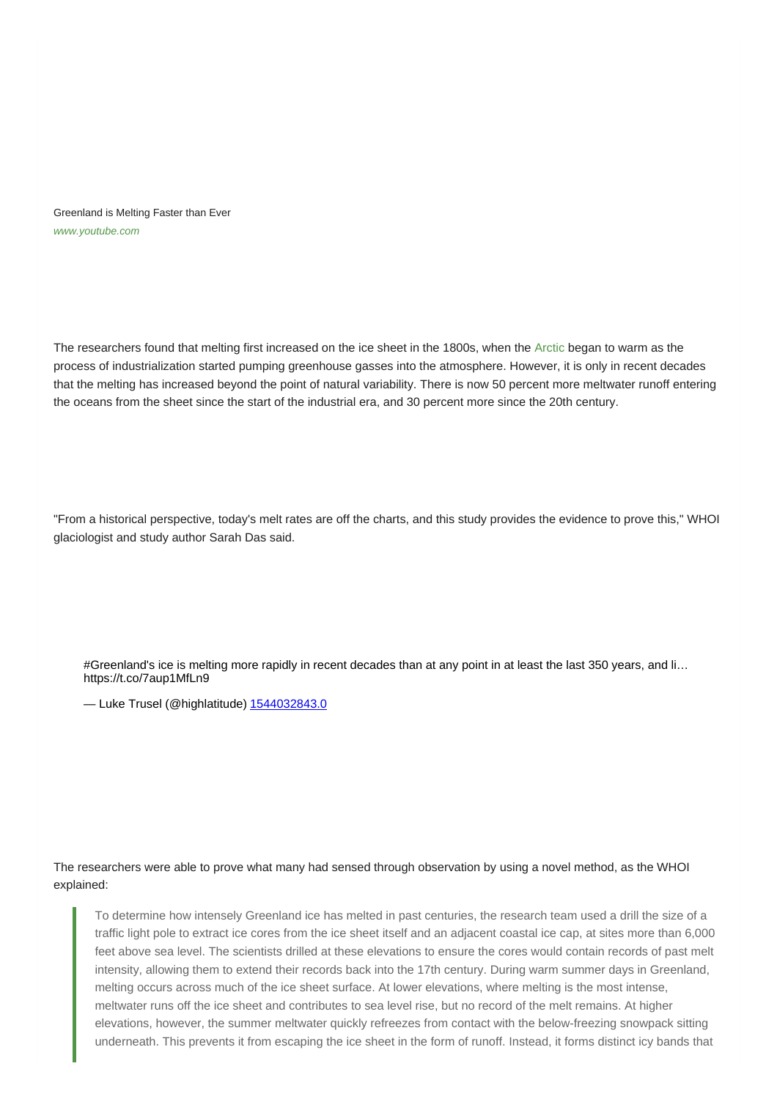Greenland is Melting Faster than Ever *[www.youtube.com](https://www.youtube.com/watch?v=HuDd3AakXrw)*

The researchers found that melting first increased on the ice sheet in the 1800s, when the [Arctic](http://www.ecowatch.com/tag/arctic) began to warm as the process of industrialization started pumping greenhouse gasses into the atmosphere. However, it is only in recent decades that the melting has increased beyond the point of natural variability. There is now 50 percent more meltwater runoff entering the oceans from the sheet since the start of the industrial era, and 30 percent more since the 20th century.

"From a historical perspective, today's melt rates are off the charts, and this study provides the evidence to prove this," WHOI glaciologist and study author Sarah Das said.

#Greenland's ice is melting more rapidly in recent decades than at any point in at least the last 350 years, and li... https://t.co/7aup1MfLn9

- Luke Trusel (@highlatitude) 1544032843.0

The researchers were able to prove what many had sensed through observation by using a novel method, as the WHOI explained:

To determine how intensely Greenland ice has melted in past centuries, the research team used a drill the size of a traffic light pole to extract ice cores from the ice sheet itself and an adjacent coastal ice cap, at sites more than 6,000 feet above sea level. The scientists drilled at these elevations to ensure the cores would contain records of past melt intensity, allowing them to extend their records back into the 17th century. During warm summer days in Greenland, melting occurs across much of the ice sheet surface. At lower elevations, where melting is the most intense, meltwater runs off the ice sheet and contributes to sea level rise, but no record of the melt remains. At higher elevations, however, the summer meltwater quickly refreezes from contact with the below-freezing snowpack sitting underneath. This prevents it from escaping the ice sheet in the form of runoff. Instead, it forms distinct icy bands that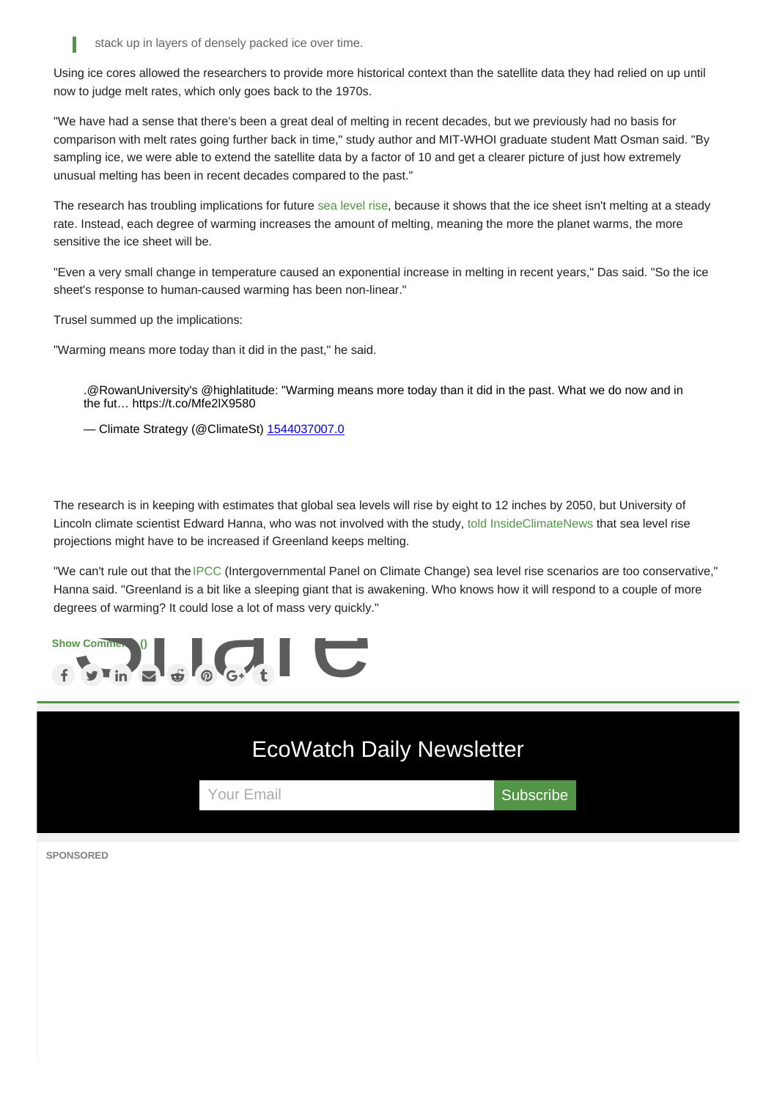stack up in layers of densely packed ice over time.

Using ice cores allowed the researchers to provide more historical context than the satellite data they had relied on up until now to judge melt rates, which only goes back to the 1970s.

"We have had a sense that there's been a great deal of melting in recent decades, but we previously had no basis for comparison with melt rates going further back in time," study author and MIT-WHOI graduate student Matt Osman said. "By sampling ice, we were able to extend the satellite data by a factor of 10 and get a clearer picture of just how extremely unusual melting has been in recent decades compared to the past."

The research has troubling implications for future sea [level](http://www.ecowatch.com/tag/sea-level-rise) rise, because it shows that the ice sheet isn't melting at a steady rate. Instead, each degree of warming increases the amount of melting, meaning the more the planet warms, the more sensitive the ice sheet will be.

"Even a very small change in temperature caused an exponential increase in melting in recent years," Das said. "So the ice sheet's response to human-caused warming has been non-linear."

Trusel summed up the implications:

"Warming means more today than it did in the past," he said.

.@RowanUniversity's @highlatitude: "Warming means more today than it did in the past. What we do now and in the fut… https://t.co/Mfe2lX9580

— Climate Strategy (@ClimateSt) 1544037007.0

The research is in keeping with estimates that global sea levels will rise by eight to 12 inches by 2050, but University of Lincoln climate scientist Edward Hanna, who was not involved with the study, told [InsideClimateNews](https://insideclimatenews.org/news/05122018/greenland-ice-sheet-melting-tipping-points-sea-level-rise-climate-change-arctic-warming) that sea level rise projections might have to be increased if Greenland keeps melting.

"We can't rule out that the [IPCC](https://www.ipcc.ch/) (Intergovernmental Panel on Climate Change) sea level rise scenarios are too conservative." Hanna said. "Greenland is a bit like a sleeping giant that is awakening. Who knows how it will respond to a couple of more degrees of warming? It could lose a lot of mass very quickly."





**SPONSORED**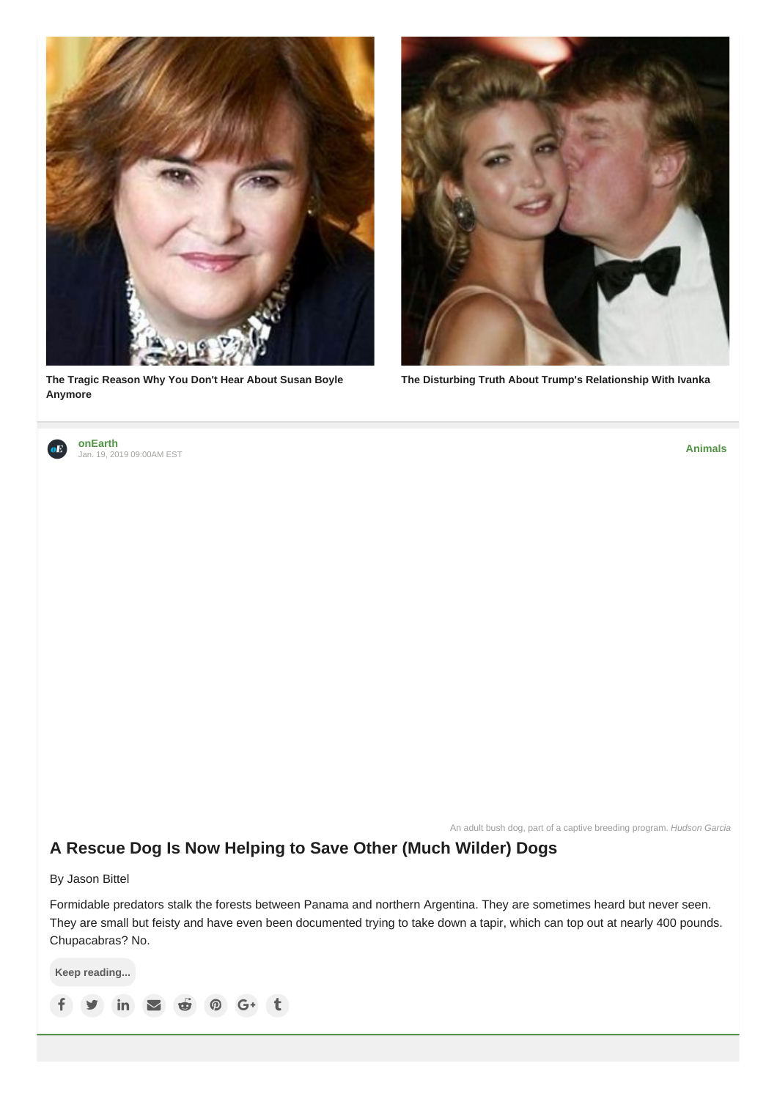

**The Tragic Reason Why You Don't Hear About Susan Boyle [Anymore](http://www.zergnet.com/i/3603228/51372/0/0/0/1)**



**The Disturbing Truth About Trump's [Relationship](http://www.zergnet.com/i/3650335/51372/0/0/0/2) With Ivanka**



**[onEarth](https://www.ecowatch.com/community/onearth)** Jan. 19, 2019 09:00AM EST

**[Animals](https://www.ecowatch.com/animals)**

An adult bush dog, part of a captive breeding program. *Hudson Garcia*

# **A Rescue Dog Is Now [Helping](https://www.ecowatch.com/south-americas-bush-dogs-2626292340.html) to Save Other (Much Wilder) Dogs**

By Jason Bittel

Formidable predators stalk the forests between Panama and northern Argentina. They are sometimes heard but never seen. They are small but feisty and have even been documented trying to take down a tapir, which can top out at nearly 400 pounds. Chupacabras? No.

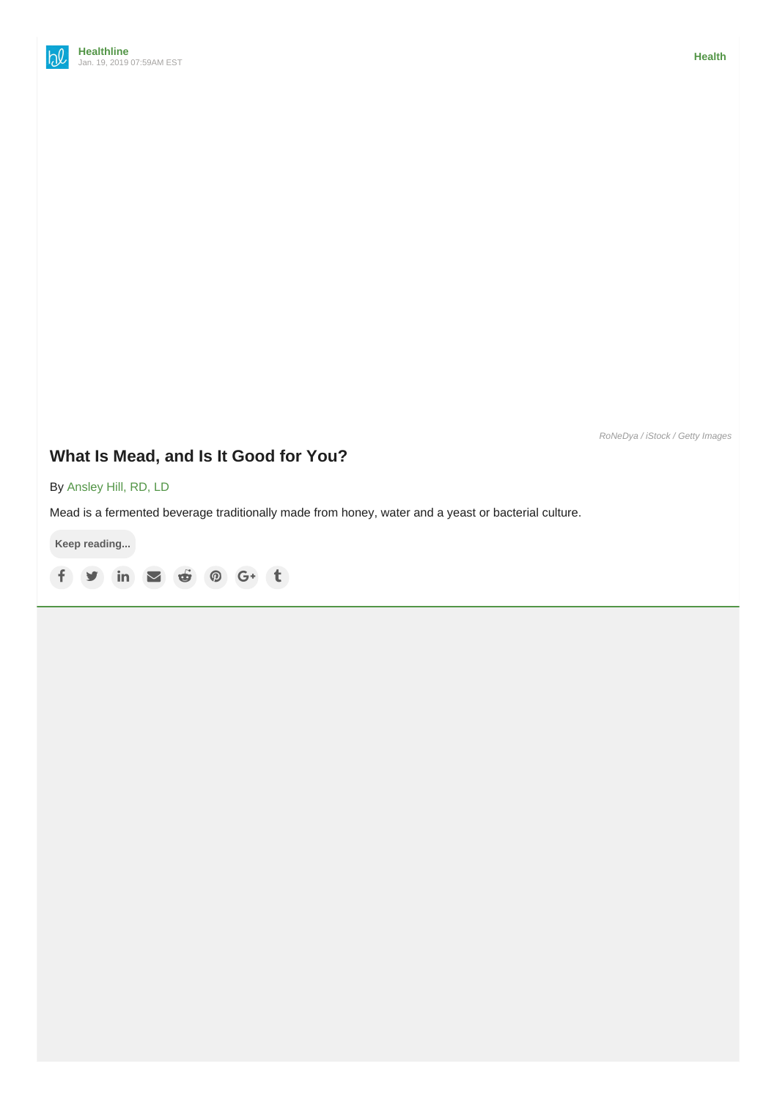*RoNeDya / iStock / Getty Images*

# **What Is [Mead,](https://www.ecowatch.com/mead-2626297358.html) and Is It Good for You?**

By [Ansley](https://www.healthline.com/health/about-us#link-an_page) Hill, RD, LD

Mead is a fermented beverage traditionally made from honey, water and a yeast or bacterial culture.

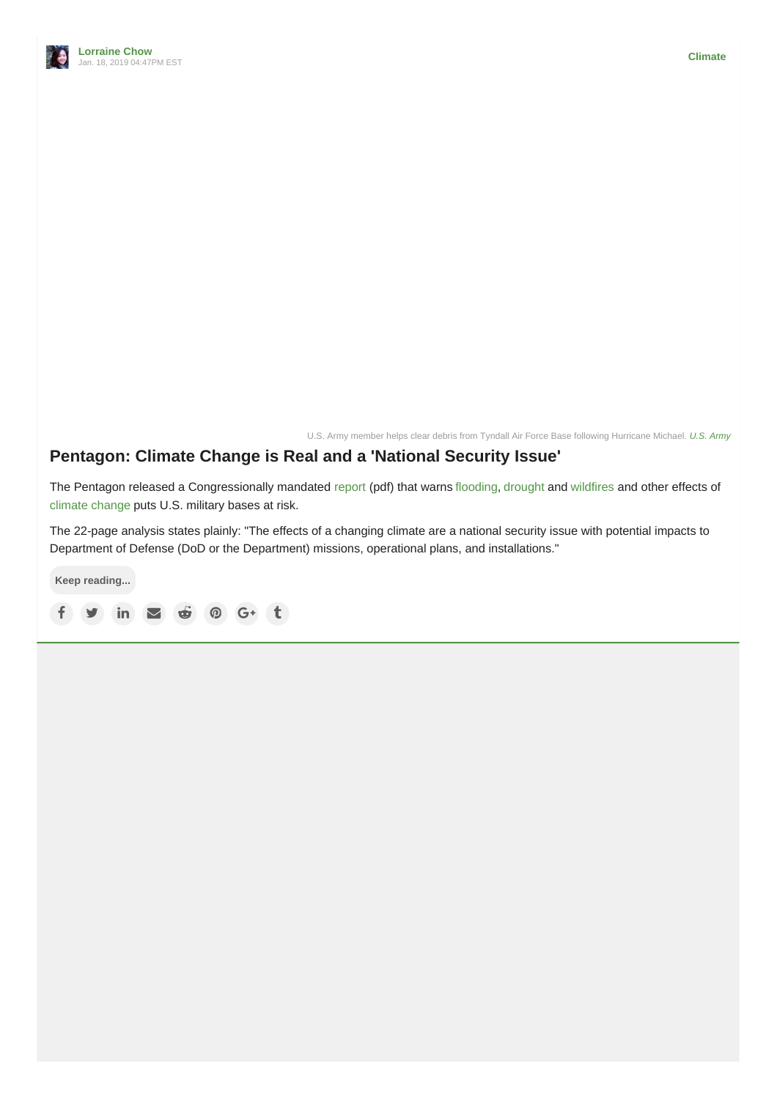

U.S. Army member helps clear debris from Tyndall Air Force Base following Hurricane Michael. *U.S. [Army](https://www.flickr.com/photos/soldiersmediacenter/)*

### **[Pentagon:](https://www.ecowatch.com/pentagon-report-on-climate-change-2626395731.html) Climate Change is Real and a 'National Security Issue'**

The Pentagon released a Congressionally mandated [report](https://climateandsecurity.files.wordpress.com/2019/01/sec_335_ndaa-report_effects_of_a_changing_climate_to_dod.pdf) (pdf) that warns [flooding](https://www.ecowatch.com/tag/flooding), [drought](https://www.ecowatch.com/tag/drought) and [wildfires](https://www.ecowatch.com/tag/wildfires) and other effects of [climate](https://www.ecowatch.com/climate-change) change puts U.S. military bases at risk.

The 22-page analysis states plainly: "The effects of a changing climate are a national security issue with potential impacts to Department of Defense (DoD or the Department) missions, operational plans, and installations."

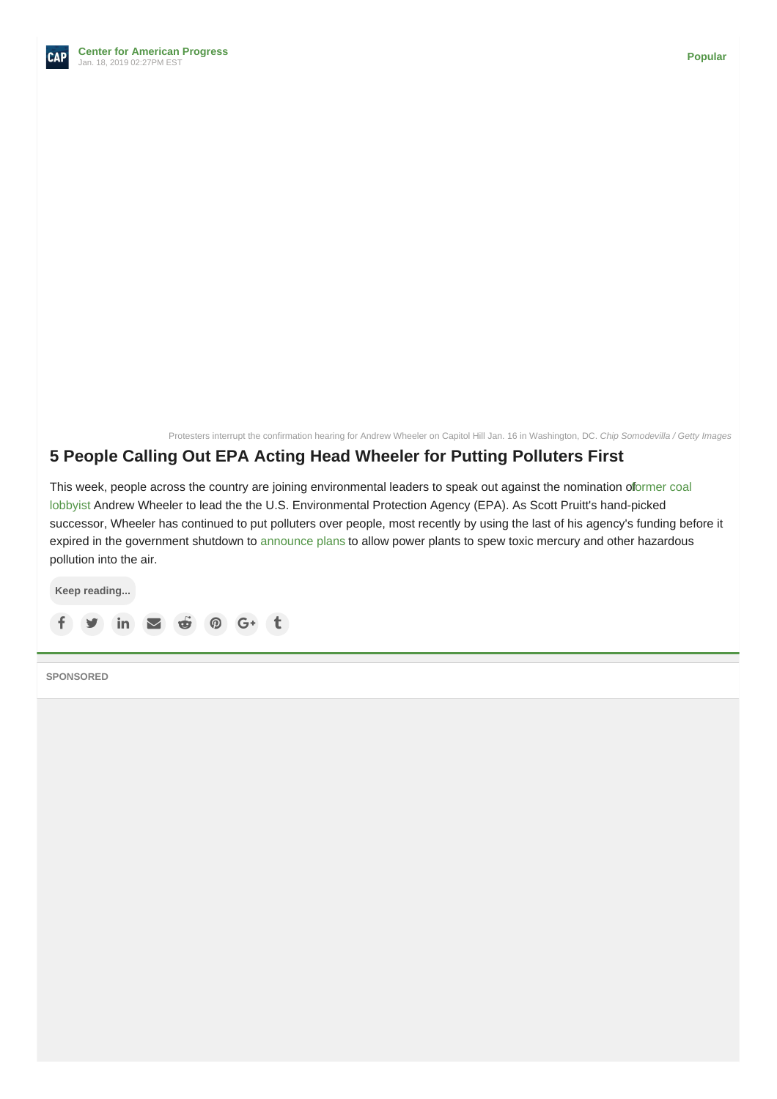Protesters interrupt the confirmation hearing for Andrew Wheeler on Capitol Hill Jan. 16 in Washington, DC. *Chip Somodevilla / Getty Images*

### **5 People Calling Out EPA Acting Head Wheeler for Putting [Polluters](https://www.ecowatch.com/andrew-wheeler-epa-nominee-2626397589.html) First**

This week, people across the country are joining [environmental](https://thehill.com/policy/energy-environment/417159-trump-to-nominate-acting-epa-chief-wheeler-for-senate-confirmation) leaders to speak out against the nomination oformer coal lobbyist Andrew Wheeler to lead the the U.S. Environmental Protection Agency (EPA). As Scott Pruitt's hand-picked successor, Wheeler has continued to put polluters over people, most recently by using the last of his agency's funding before it expired in the government shutdown to [announce](https://www.americanprogress.org/issues/green/news/2018/10/02/458885/trump-administrations-proposed-mats-rollback-direct-attack-women-children/) plans to allow power plants to spew toxic mercury and other hazardous pollution into the air.



**SPONSORED**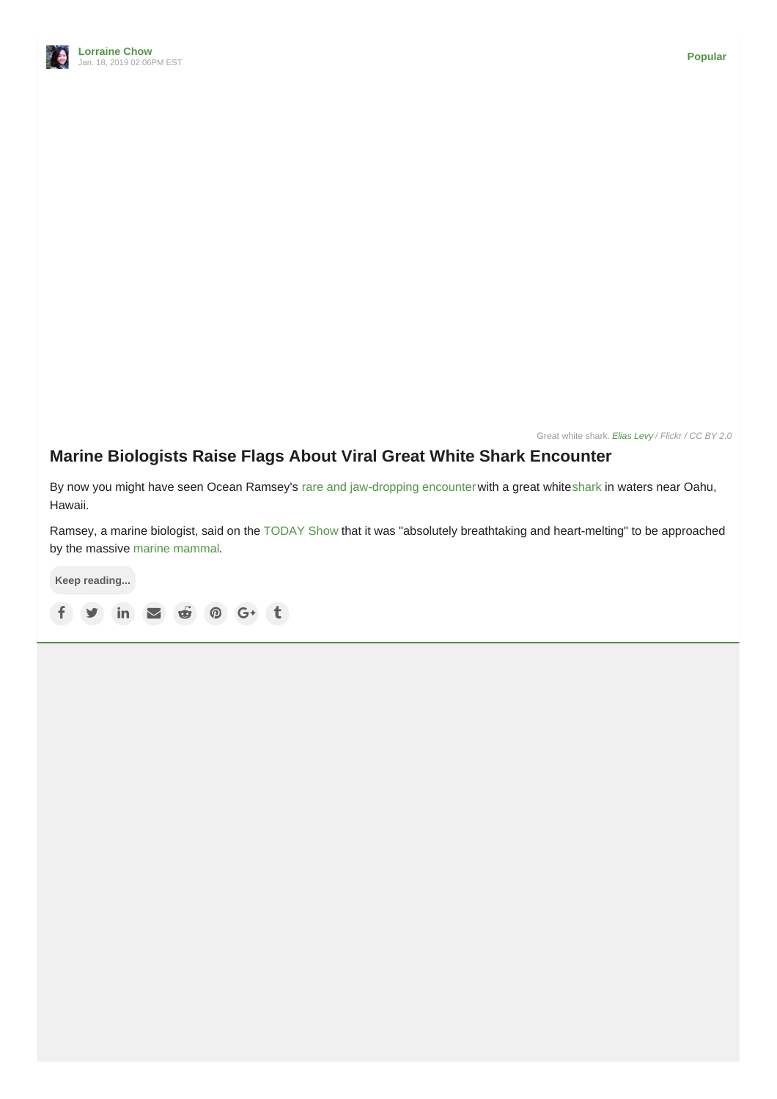

Great white shark. *[Elias](https://www.flickr.com/photos/elevy/) Levy / Flickr / CC BY 2.0*

# **Marine Biologists Raise Flags About Viral Great White Shark [Encounter](https://www.ecowatch.com/ocean-ramsey-shark-video-2626382493.html)**

By now you might have seen Ocean Ramsey's rare and [jaw-dropping](https://www.instagram.com/p/BstzkcZlZHg/) encounter with a great white[shark](https://www.ecowatch.com/tag/sharks) in waters near Oahu, Hawaii.

Ramsey, a marine biologist, said on the [TODAY](https://twitter.com/TODAYshow/status/1086246180261163008) Show that it was "absolutely breathtaking and heart-melting" to be approached by the massive marine [mammal](https://www.ecowatch.com/tag/marine-life).

**Keep reading...**  $f \circ f$  in  $\Box$   $\oplus$   $\odot$   $G^+$  t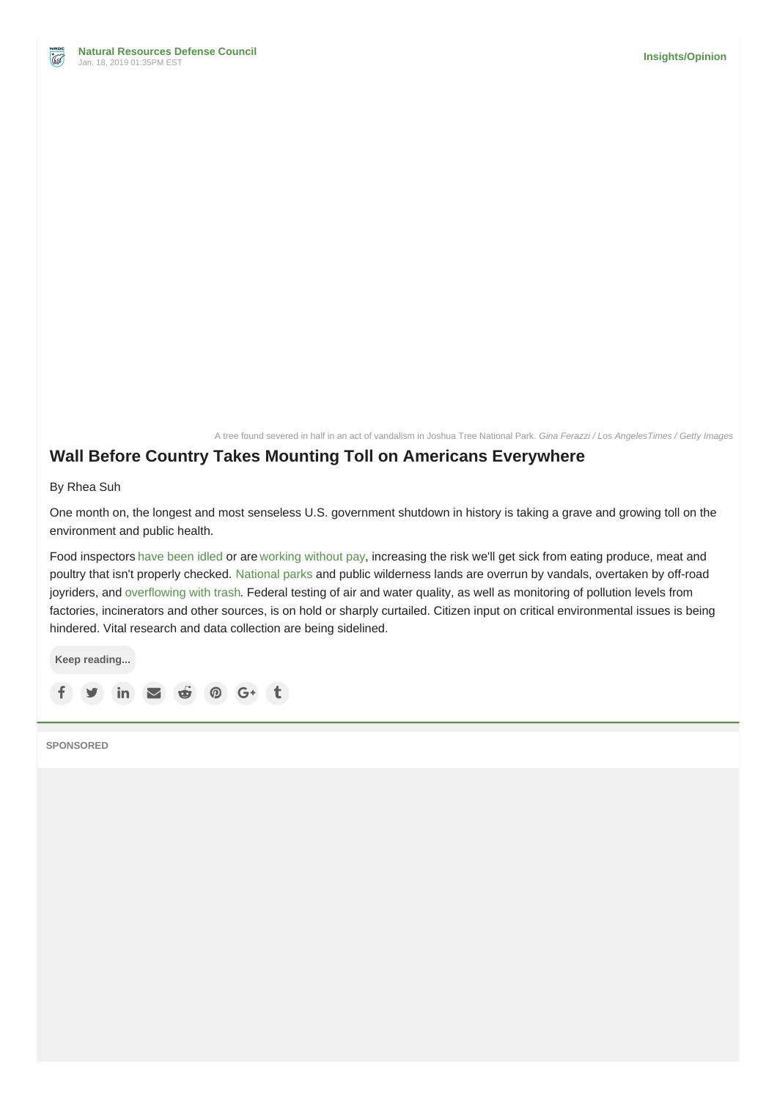A tree found severed in half in an act of vandalism in Joshua Tree National Park. *Gina Ferazzi / Los AngelesTimes / Getty Images*

### **Wall Before Country Takes Mounting Toll on Americans [Everywhere](https://www.ecowatch.com/government-shutdown-environment-public-health-2626392686.html)**

By Rhea Suh

One month on, the longest and most senseless U.S. government shutdown in history is taking a grave and growing toll on the environment and public health.

Food inspectors have [been](https://www.nbcnews.com/health/health-news/government-shutdown-stops-fda-food-safety-inspections-n956716) idled or are [working](https://newschannel9.com/news/local/shutdown-usda-meat-inspectors-continue-safety-checks-without-pay) without pay, increasing the risk we'll get sick from eating produce, meat and poultry that isn't properly checked. [National](http://www.ecowatch.com/tag/national-parks) parks and public wilderness lands are overrun by vandals, overtaken by off-road joyriders, and [overflowing](https://www.npr.org/2019/01/06/682686357/national-park-service-plans-to-expand-operations-amid-government-shutdown-degrad) with trash. Federal testing of air and water quality, as well as monitoring of pollution levels from factories, incinerators and other sources, is on hold or sharply curtailed. Citizen input on critical environmental issues is being hindered. Vital research and data collection are being sidelined.

**Keep reading...**  $f \circ f$  in  $\Box$   $\oplus$   $\odot$   $G^+$  t

**SPONSORED**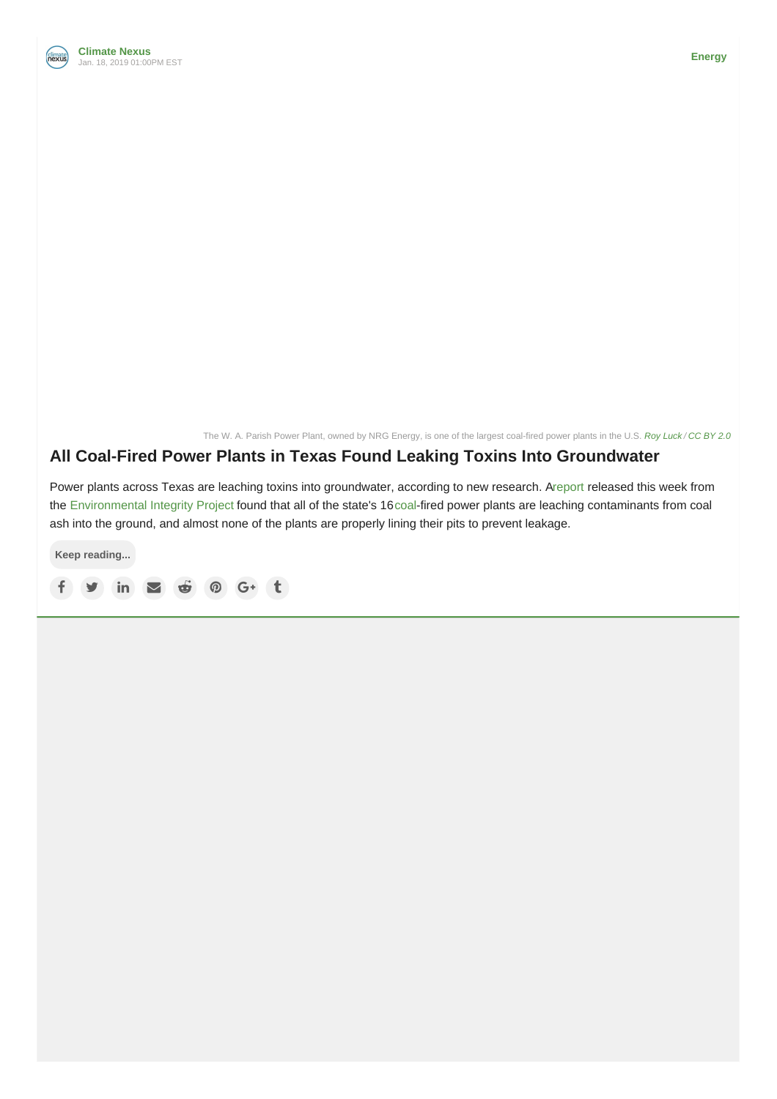

The W. A. Parish Power Plant, owned by NRG Energy, is one of the largest coal-fired power plants in the U.S. *Roy [Luck](https://www.flickr.com/photos/royluck/5518337353/) / [CC](https://creativecommons.org/licenses/by/2.0/) BY 2.0*

### **All Coal-Fired Power Plants in Texas Found Leaking Toxins Into [Groundwater](https://www.ecowatch.com/coal-ash-groundwater-texas-2626375241.html)**

Power plants across Texas are leaching toxins into groundwater, according to new research. [Areport](http://www.environmentalintegrity.org/reports/groundwater-contamination-from-texas-coal-ash-dumps/) released this week from the [Environmental](http://www.environmentalintegrity.org/) Integrity Project found that all of the state's 16[coal](http://www.ecowatch.com/tag/coal)-fired power plants are leaching contaminants from coal ash into the ground, and almost none of the plants are properly lining their pits to prevent leakage.